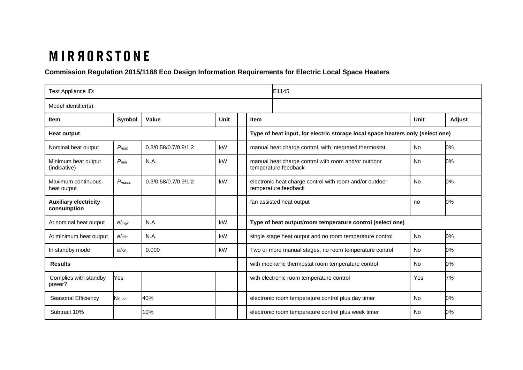## **MIRAORSTONE**

## **Commission Regulation 2015/1188 Eco Design Information Requirements for Electric Local Space Heaters**

| Test Appliance ID:                          |                   |                      |      |  |                                                           | E1145                                                                           |             |        |  |  |
|---------------------------------------------|-------------------|----------------------|------|--|-----------------------------------------------------------|---------------------------------------------------------------------------------|-------------|--------|--|--|
| Model identifier(s):                        |                   |                      |      |  |                                                           |                                                                                 |             |        |  |  |
| <b>Item</b>                                 | Symbol            | Value                | Unit |  | <b>Item</b>                                               |                                                                                 | <b>Unit</b> | Adjust |  |  |
| <b>Heat output</b>                          |                   |                      |      |  |                                                           | Type of heat input, for electric storage local space heaters only (select one)  |             |        |  |  |
| Nominal heat output                         | $P_{nom}$         | 0.3/0.58/0.7/0.9/1.2 | kW   |  |                                                           | manual heat charge control, with integrated thermostat                          | <b>No</b>   | 0%     |  |  |
| Minimum heat output<br>(indicative)         | $P_{min}$         | N.A.                 | kW   |  |                                                           | manual heat charge control with room and/or outdoor<br>temperature feedback     | <b>No</b>   | 0%     |  |  |
| Maximum continuous<br>heat output           | $P_{max,c}$       | 0.3/0.58/0.7/0.9/1.2 | kW   |  |                                                           | electronic heat charge control with room and/or outdoor<br>temperature feedback | <b>No</b>   | 0%     |  |  |
| <b>Auxiliary electricity</b><br>consumption |                   |                      |      |  |                                                           | fan assisted heat output                                                        | no          | 0%     |  |  |
| At nominal heat output                      | el <sub>max</sub> | N.A.                 | kW   |  | Type of heat output/room temperature control (select one) |                                                                                 |             |        |  |  |
| At minimum heat output                      | $el_{min}$        | N.A.                 | kW   |  | single stage heat output and no room temperature control  |                                                                                 | <b>No</b>   | 0%     |  |  |
| In standby mode                             | $eI_{SB}$         | 0.000                | kW   |  |                                                           | Two or more manual stages, no room temperature control                          | <b>No</b>   | 0%     |  |  |
| <b>Results</b>                              |                   |                      |      |  |                                                           | with mechanic thermostat room temperature control                               | <b>No</b>   | 0%     |  |  |
| Complies with standby<br>power?             | <b>Yes</b>        |                      |      |  |                                                           | with electronic room temperature control                                        | Yes         | 7%     |  |  |
| Seasonal Efficiency                         | Ns, on            | 40%                  |      |  | electronic room temperature control plus day timer        |                                                                                 | <b>No</b>   | 0%     |  |  |
| Subtract 10%                                |                   | 10%                  |      |  |                                                           | electronic room temperature control plus week timer                             | <b>No</b>   | 0%     |  |  |